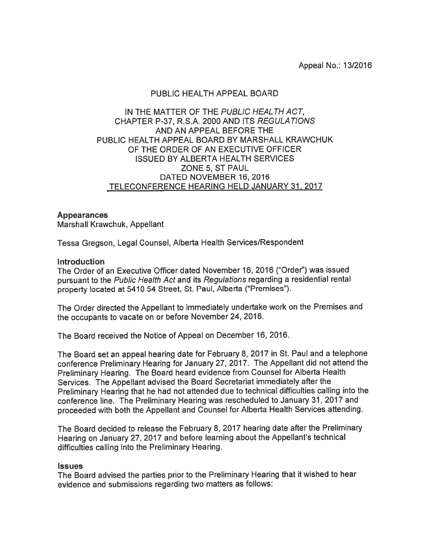Appeal No.: 13/2016

## PUBLIC HEALTH APPEAL BOARD

# IN THE MATTER OF THE PUBLIC HEALTH ACT, CHAPTER P-37, R.S.A. 2000 AND ITS REGULATIONS AND AN APPEAL BEFORE THE PUBLIC HEALTH APPEAL BOARD BY MARSHALL KRAWCHUK OF THE ORDER OF AN EXECUTIVE OFFICER ISSUED BY ALBERTA HEALTH SERVICES ZONE 5, ST PAUL DATED NOVEMBER 16, 2016 TELECONFERENCE HEARING HELD JANUARY 31, 2017

### Appearances

Marshall Krawchuk, Appellant

Tessa Gregson, Legal Counsel, Alberta Health Services/Respondent

## **Introduction**

The Order of an Executive Officer dated November 16, 2016 ("Order") was issued pursuan<sup>t</sup> to the Public Health Act and its Regulations regarding <sup>a</sup> residential rental property located at <sup>5410</sup> <sup>54</sup> Street, St. Paul, Alberta ("Premises").

The Order directed the Appellant to immediately undertake work on the Premises and the occupants to vacate on or before November 24, 2016.

The Board received the Notice of Appeal on December 16, 2016.

The Board set an appea<sup>l</sup> hearing date for February 8, <sup>2017</sup> in St. Paul and <sup>a</sup> telephone conference Preliminary Hearing for January 27, 2017. The Appellant did not attend the Preliminary Hearing. The Board heard evidence from Counsel for Alberta Health Services. The Appellant advised the Board Secretariat immediately after the Preliminary Hearing that he had not attended due to technical difficulties calling into the conference line. The Preliminary Hearing was rescheduled to January 31, 2017 and proceeded with both the Appellant and Counsel for Alberta Health Services attending.

The Board decided to release the February 8, 2017 hearing date after the Preliminary Hearing on January 27, <sup>2017</sup> and before learning about the Appellant's technical difficulties calling into the Preliminary Hearing.

#### **Issues**

The Board advised the parties prior to the Preliminary Hearing that it wished to hear evidence and submissions regarding two matters as follows: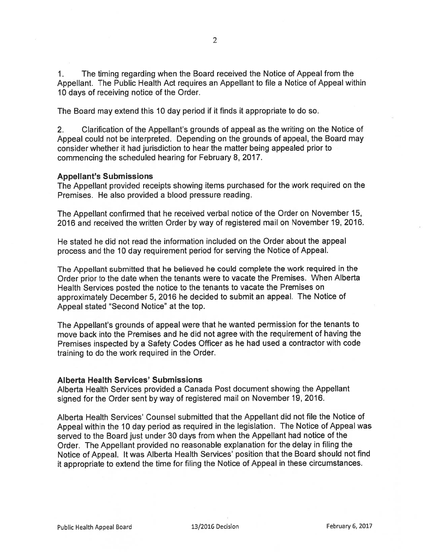1. The timing regarding when the Board received the Notice of Appeal from the Appellant. The Public Health Act requires an Appellant to file <sup>a</sup> Notice of Appeal within 1.0 days of receiving notice of the Order.

The Board may extend this 10 day period if it finds it appropriate to do so.

2. Clarification of the Appellant's grounds of appeal as the writing on the Notice of Appeal could not be interpreted. Depending on the grounds of appeal, the Board may consider whether it had jurisdiction to hear the matter being appealed prior to commencing the scheduled hearing for February 8, 2017.

## Appellant's Submissions

The Appellant provided receipts showing items purchased for the work required on the Premises. He also provided <sup>a</sup> blood pressure reading.

The Appellant confirmed that he received verbal notice of the Order on November 15, 2016 and received the written Order by way of registered mail on November 19, 2016.

He stated he did not read the information included on the Order about the appeal process and the 10 day requirement period for serving the Notice of Appeal.

The Appellant submitted that he believed he could complete the work required in the Order prior to the date when the tenants were to vacate the Premises. When Alberta Health Services posted the notice to the tenants to vacate the Premises on approximately December 5, <sup>2016</sup> he decided to submit an appeal. The Notice of Appeal stated "Second Notice" at the top.

The Appellant's grounds of appea<sup>l</sup> were that he wanted permission for the tenants to move back into the Premises and he did not agree with the requirement of having the Premises inspected by <sup>a</sup> Safety Codes Officer as he had used <sup>a</sup> contractor with code training to do the work required in the Order.

## Alberta Health Services' Submissions

Alberta Health Services provided <sup>a</sup> Canada Post document showing the Appellant signed for the Order sent by way of registered mail on November 19, 2016.

Alberta Health Services' Counsel submitted that the Appellant did not file the Notice of Appeal within the <sup>10</sup> day period as required in the legislation. The Notice of Appeal was served to the Board just under <sup>30</sup> days from when the Appellant had notice of the Order. The Appellant provided no reasonable explanation for the delay in filing the Notice of Appeal. It was Alberta Health Services' position that the Board should not find it appropriate to extend the time for filing the Notice of Appeal in these circumstances.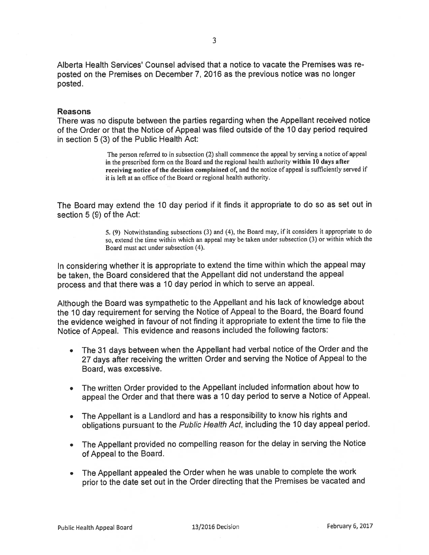Alberta Health Services' Counsel advised that <sup>a</sup> notice.to vacate the Premises was re posted on the Premises on December 7, 2016 as the previous notice was no longer posted.

## Reasons

There was no dispute between the parties regarding when the Appellant received notice of the Order or that the Notice of Appeal was filed outside of the 10 day period required in section 5 (3) of the Public Health Act:

> The person referred to in subsection (2) shall commence the appea<sup>l</sup> by serving <sup>a</sup> notice of appea<sup>l</sup> in the prescribed form on the Board and the regional health authority within <sup>10</sup> days after receiving notice of the decision complained of, and the notice of appea<sup>l</sup> is sufficiently served if it is left at an office of the Board or regional health authority.

The Board may extend the <sup>10</sup> day period if it finds it appropriate to do so as set out in section 5 (9) of the Act:

> 5. (9) Notwithstanding subsections (3) and (4), the Board may, if it considers it appropriate to do so, extend the time within which an appea<sup>l</sup> may be taken under subsection (3) or within which the Board must act under subsection (4).

In considering whether it is appropriate to extend the time within which the appea<sup>l</sup> may be taken, the Board considered that the Appellant did not understand the appea<sup>l</sup> process and that there was <sup>a</sup> <sup>10</sup> day period in which to serve an appeal.

Although the Board was sympathetic to the Appellant and his lack of knowledge about the <sup>10</sup> day requirement for serving the Notice of Appeal to the Board, the Board found the evidence weighed in favour of not finding it appropriate to extent the time to file the Notice of Appeal. This evidence and reasons included the following factors:

- The <sup>31</sup> days between when the Appellant had verbal notice of the Order and the <sup>27</sup> days after receiving the written Order and serving the Notice of Appeal to the Board, was excessive.
- The written Order provided to the Appellant included information about how to appea<sup>l</sup> the Order and that there was <sup>a</sup> <sup>10</sup> day period to serve <sup>a</sup> Notice of Appeal.
- The Appellant is <sup>a</sup> Landlord and has <sup>a</sup> responsibility to know his rights and obligations pursuan<sup>t</sup> to the Public Health Act, including the <sup>10</sup> day appea<sup>l</sup> period.
- The Appellant provided no compelling reason for the delay in serving the Notice of Appeal to the Board.
- The Appellant appealed the Order when he was unable to complete the work prior to the date set out in the Order directing that the Premises be vacated and